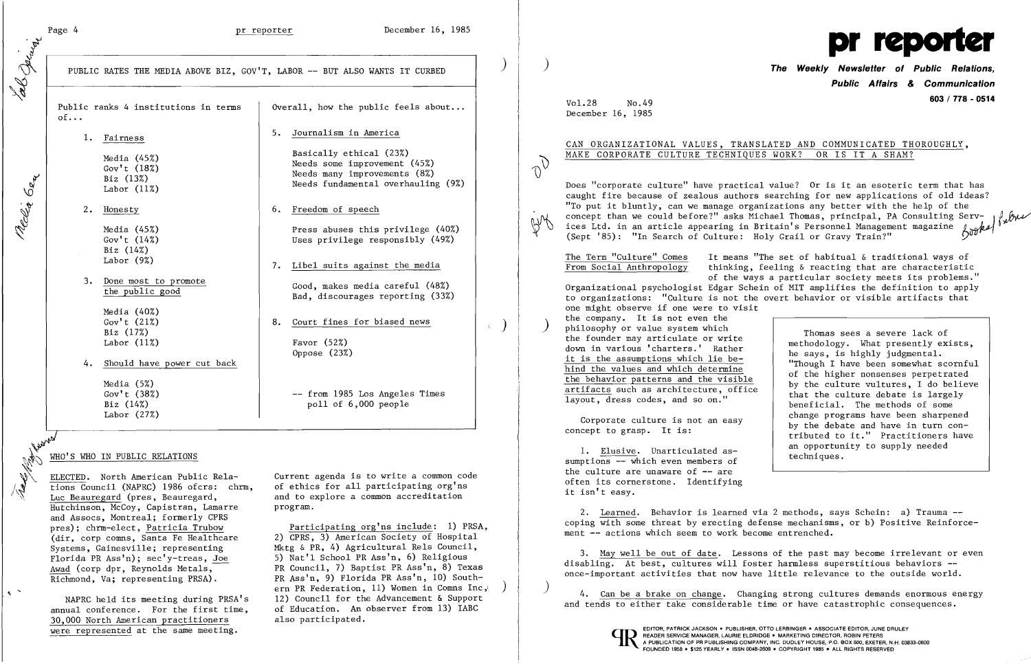Page 4 and Page 4 and Pr reporter and December 16, 1985

Public ranks 4 institutions in terms  $\vert$  Overall, how the public feels about... 5. Journalism in America 1. Fairness

I

Page 4<br>
PUBLIC RATES THE MEDIA ABOVE BIZ, GOV'T, LABOR -- BUT ALSO WANTS IT CURBED

 $of...$ 

Gov't  $(18%)$ <br>Biz  $(13%)$ <br>Labor  $(11%)$ 

Media (45%)<br>
Gov't (18%)<br>
Biz (13%)<br>
Labor (11%)<br>
Meeds some improvement (45%)<br>
Needs fundamental overhaulin Needs fundamental overhauling (9%) Labor (11%) \0

2. Honesty 6. Freedom of speech

Media (45%) **Press** abuses this privilege (40%) Uses privilege responsibly (49%)

Media (40%) Gov't (21%) Biz (17%) Labor  $(11\%)$  Favor  $(52\%)$ 

Biz (14%) Labor (9%) Gov't (14%)

7. Libel suits against the media

3. Done most to promote<br>the public good depending the public good bad, discourages reporting (33%)

8. Court fines for biased news

Oppose (23%)

-- from 1985 Los Angeles Times  $pol1$  of  $6,000$  people

and to explore a common accreditation

pres); chrm-elect, <u>Patricia Trubow</u> Participating org'ns include: 1) PRSA, (dir, corp comns, Santa Fe Healthcare 2) CPRS, 3) American Society of Hospital (dir, corp comns, Santa Fe Healthcare 2) CPRS, 3) American Society of Hospital<br>Systems, Gainesville; representing Mktg & PR, 4) Agricultural Rels Council, Systems, Gainesville; representing Mktg & PR, 4) Agricultural Rels Council,<br>Florida PR Ass'n); sec'v-treas, Joe 5) Nat'l School PR Ass'n, 6) Religious Awad (corp dpr, Reynolds Metals, The PR Council, 7) Baptist PR Ass'n, 8) Texas<br>Richmond, Va; representing PRSA). PR Ass'n, 9) Florida PR Ass'n, 10) South-PR Ass'n, 9) Florida PR Ass'n, 10) Southern PR Federation, 11) Women in Comns Inc, NAPRC held its meeting during PRSA's 12) Council for the Advancement & Support<br>well conference. For the first time. of Education. An observer from 13) IABC

4. Should have power cut back

Media (5%) Gov't (38%) Labor (27%)

11ap

 $\sim$ 

~~

WHO'S WHO IN PUBLIC RELATIONS<br>ELECTED. North American Public Rela-<br>tions Council (NAPRC) 1986 ofcrs: chrm, ELECTED. North American Public Rela- Current agenda is to write a common code tions Council (NAPRC) 1986 ofcrs: chrm, of ethics for all participating org'ns<br>Luc Beauregard (pres, Beauregard, and to explore a common accreditation Hutchinson, McCoy, Capistran, Lamarre program. and Assocs, Montreal; formerly CPRS Florida PR Ass'n); sec'y-treas, Joe 5) Nat'l School PR Ass'n, 6) Religious<br>Awad (corp dpr. Reynolds Metals, FR Council, 7) Baptist PR Ass'n, 8) Tex

annual conference. For the first time, of Education. An  $\overline{30.000}$  North American practitioners also participated. 30,000 North American practitioners were represented at the same meeting.

Does "corporate culture" have practical value? Or is it an esoteric term that has caught fire because of zealous authors searching for new applications of old ideas? "To put it bluntly, can we manage organizations any better with the help of the concept than we could before?" asks Michael Thomas, principal, PA Consulting Servconcept than we could belose: asso michael income,  $f = f$ ,  $f = f$ ,  $f$  and  $f$  and ices Ltd. in an article appearing in Britain's Personnel Management magazine  $f_{00}$ (Sept '85): "In Search of Culture: Holy Grail or Gravy Train?"



) the company. It is not even the<br>
philosophy or value system which<br>
the founder may extigulate or unite<br>
Thomas sees a severe lack of one might observe if one were to visit the company. It is not even the the founder may articulate or write down in various' charters.' Rather it is the assumptions which lie behind the values and which determine the behavior patterns and the visible artifacts such as architecture, office layout, dress codes, and so on."

2. Learned. Behavior is learned via 2 methods, says Schein: a) Trauma coping with some threat by erecting defense mechanisms, or b) Positive Reinforcement -- actions which seem to work become entrenched.

) ) **The Weekly Newsletter of Public Relations, Public Affairs** *&* **Communication 603 / 778 - 0514** 

Vol.28 No.49 December 16, 1985

 $\sigma_{\rm D}$ 

AM

 $\rightarrow$  )

## CAN ORGANIZATIONAL VALUES, TRANSLATED AND COMMUNICATED THOROUGHLY, MAKE CORPORATE CULTURE TECHNIQUES WORK? OR IS IT A SHAM?

4. Can be a brake on change. Changing strong cultures demands enormous energy and tends to either take considerable time or have catastrophic consequences.



:) I

methodology. What presently exists, he says, is highly judgmental. "Though I have been somewhat scornful of the higher nonsenses perpetrated by the culture vultures, I do believe that the culture debate is largely beneficial. The methods of some change programs have been sharpened by the debate and have in turn contributed to it." Practitioners have an opportunity to supply needed techniques.

The Term "Culture" Comes From Social Anthropology

Corporate culture is not an easy concept to grasp. It is:

1. Elusive. Unarticulated assumptions -- which even members of the culture are unaware of  $-$  are often its cornerstone. Identifying it isn't easy.

It means "The set of habitual & traditional ways of thinking, feeling & reacting that are characteristic of the ways a particular society meets its problems." Organizational psychologist Edgar Schein of MIT amplifies the definition to apply to organizations: "Culture is not the overt behavior or visible artifacts that

3. May well be out of date. Lessons of the past may become irrelevant or even disabling. At best, cultures will foster harmless superstitious behaviors -once-important activities that now have little relevance to the outside world.